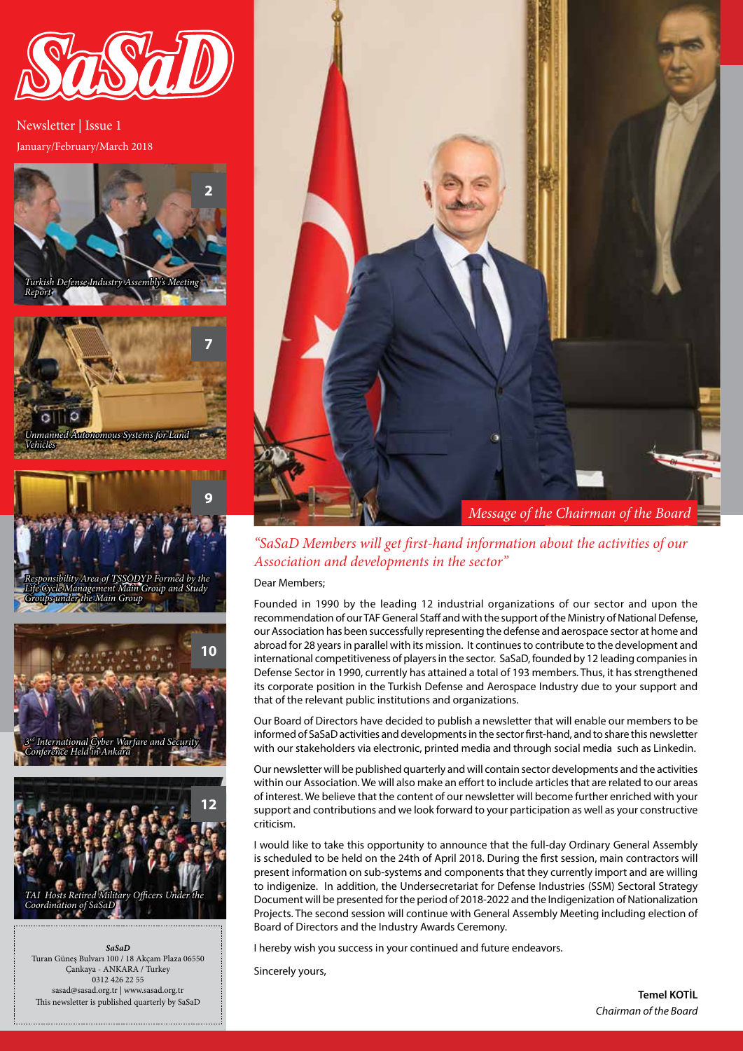

January/February/March 2018 Newsletter | Issue 1



*Unmanned Autonomous Systems for Land Vehicles*



*Responsibility Area of TSSÖDYP Formed by the Life Cycle Management Main Group and Study Groups under the Main Group*



*SaSaD* Turan Güneş Bulvarı 100 / 18 Akçam Plaza 06550 Çankaya - ANKARA / Turkey 0312 426 22 55 sasad@sasad.org.tr | www.sasad.org.tr This newsletter is published quarterly by SaSaD



*"SaSaD Members will get first-hand information about the activities of our Association and developments in the sector"* 

#### Dear Members;

Founded in 1990 by the leading 12 industrial organizations of our sector and upon the recommendation of our TAF General Staff and with the support of the Ministry of National Defense, our Association has been successfully representing the defense and aerospace sector at home and abroad for 28 years in parallel with its mission. It continues to contribute to the development and international competitiveness of players in the sector. SaSaD, founded by 12 leading companies in Defense Sector in 1990, currently has attained a total of 193 members. Thus, it has strengthened its corporate position in the Turkish Defense and Aerospace Industry due to your support and that of the relevant public institutions and organizations.

Our Board of Directors have decided to publish a newsletter that will enable our members to be informed of SaSaD activities and developments in the sector first-hand, and to share this newsletter with our stakeholders via electronic, printed media and through social media such as Linkedin.

Our newsletter will be published quarterly and will contain sector developments and the activities within our Association. We will also make an effort to include articles that are related to our areas of interest. We believe that the content of our newsletter will become further enriched with your support and contributions and we look forward to your participation as well as your constructive criticism.

I would like to take this opportunity to announce that the full-day Ordinary General Assembly is scheduled to be held on the 24th of April 2018. During the first session, main contractors will present information on sub-systems and components that they currently import and are willing to indigenize. In addition, the Undersecretariat for Defense Industries (SSM) Sectoral Strategy Document will be presented for the period of 2018-2022 and the Indigenization of Nationalization Projects. The second session will continue with General Assembly Meeting including election of Board of Directors and the Industry Awards Ceremony.

I hereby wish you success in your continued and future endeavors.

Sincerely yours,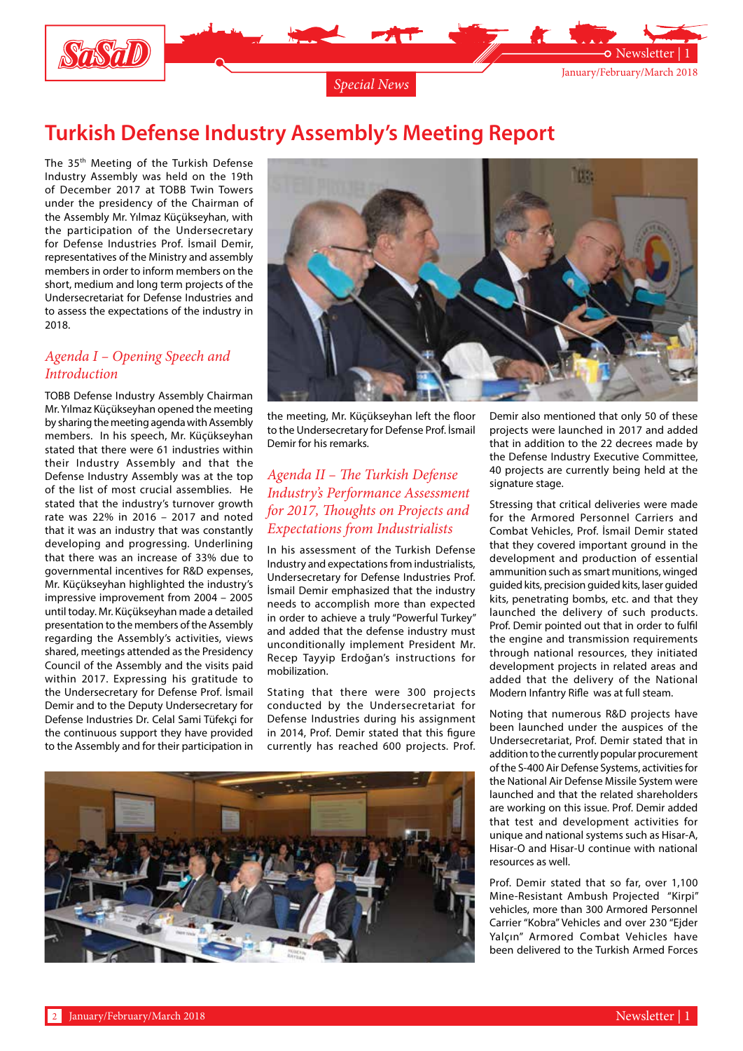

### **Turkish Defense Industry Assembly's Meeting Report**

The 35th Meeting of the Turkish Defense Industry Assembly was held on the 19th of December 2017 at TOBB Twin Towers under the presidency of the Chairman of the Assembly Mr. Yılmaz Küçükseyhan, with the participation of the Undersecretary for Defense Industries Prof. İsmail Demir, representatives of the Ministry and assembly members in order to inform members on the short, medium and long term projects of the Undersecretariat for Defense Industries and to assess the expectations of the industry in 2018.

#### *Agenda I – Opening Speech and Introduction*

TOBB Defense Industry Assembly Chairman Mr. Yılmaz Küçükseyhan opened the meeting by sharing the meeting agenda with Assembly members. In his speech, Mr. Küçükseyhan stated that there were 61 industries within their Industry Assembly and that the Defense Industry Assembly was at the top of the list of most crucial assemblies. He stated that the industry's turnover growth rate was 22% in 2016 – 2017 and noted that it was an industry that was constantly developing and progressing. Underlining that there was an increase of 33% due to governmental incentives for R&D expenses, Mr. Küçükseyhan highlighted the industry's impressive improvement from 2004 – 2005 until today. Mr. Küçükseyhan made a detailed presentation to the members of the Assembly regarding the Assembly's activities, views shared, meetings attended as the Presidency Council of the Assembly and the visits paid within 2017. Expressing his gratitude to the Undersecretary for Defense Prof. İsmail Demir and to the Deputy Undersecretary for Defense Industries Dr. Celal Sami Tüfekçi for the continuous support they have provided to the Assembly and for their participation in



the meeting, Mr. Küçükseyhan left the floor to the Undersecretary for Defense Prof. İsmail Demir for his remarks.

#### *Agenda II – The Turkish Defense Industry's Performance Assessment for 2017, Thoughts on Projects and Expectations from Industrialists*

In his assessment of the Turkish Defense Industry and expectations from industrialists, Undersecretary for Defense Industries Prof. İsmail Demir emphasized that the industry needs to accomplish more than expected in order to achieve a truly "Powerful Turkey" and added that the defense industry must unconditionally implement President Mr. Recep Tayyip Erdoğan's instructions for mobilization.

Stating that there were 300 projects conducted by the Undersecretariat for Defense Industries during his assignment in 2014, Prof. Demir stated that this figure currently has reached 600 projects. Prof.



Demir also mentioned that only 50 of these projects were launched in 2017 and added that in addition to the 22 decrees made by the Defense Industry Executive Committee, 40 projects are currently being held at the signature stage.

Stressing that critical deliveries were made for the Armored Personnel Carriers and Combat Vehicles, Prof. İsmail Demir stated that they covered important ground in the development and production of essential ammunition such as smart munitions, winged guided kits, precision guided kits, laser guided kits, penetrating bombs, etc. and that they launched the delivery of such products. Prof. Demir pointed out that in order to fulfil the engine and transmission requirements through national resources, they initiated development projects in related areas and added that the delivery of the National Modern Infantry Rifle was at full steam.

Noting that numerous R&D projects have been launched under the auspices of the Undersecretariat, Prof. Demir stated that in addition to the currently popular procurement of the S-400 Air Defense Systems, activities for the National Air Defense Missile System were launched and that the related shareholders are working on this issue. Prof. Demir added that test and development activities for unique and national systems such as Hisar-A, Hisar-O and Hisar-U continue with national resources as well.

Prof. Demir stated that so far, over 1,100 Mine-Resistant Ambush Projected "Kirpi" vehicles, more than 300 Armored Personnel Carrier "Kobra" Vehicles and over 230 "Ejder Yalçın" Armored Combat Vehicles have been delivered to the Turkish Armed Forces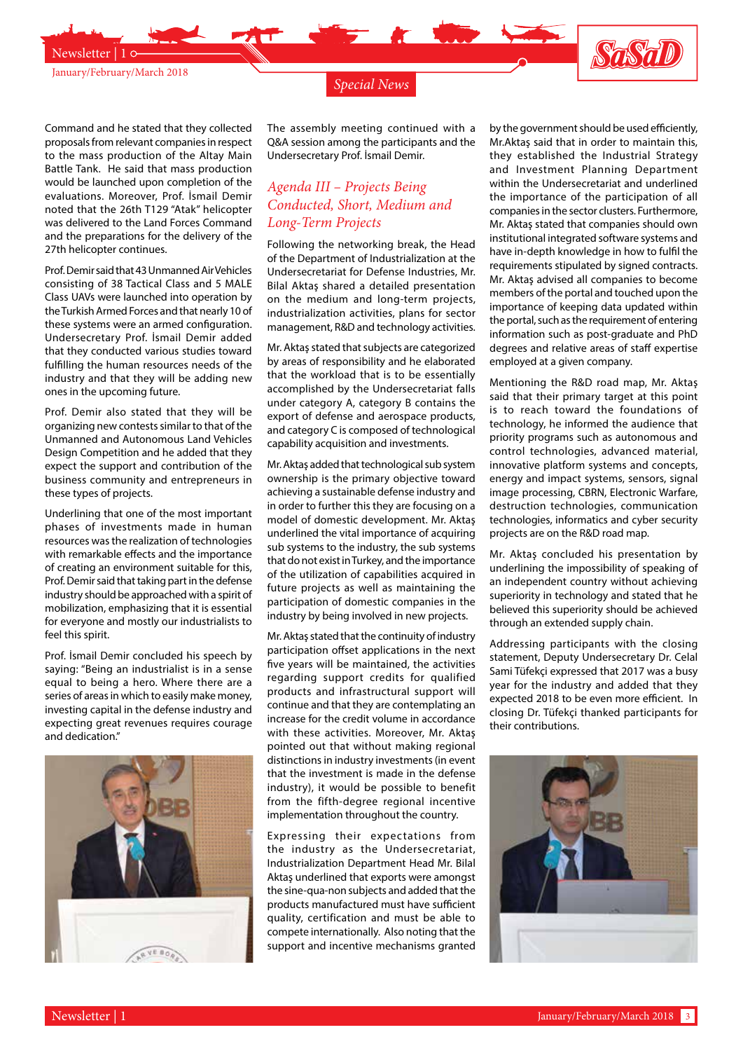

*Special News*

Command and he stated that they collected proposals from relevant companies in respect to the mass production of the Altay Main Battle Tank. He said that mass production would be launched upon completion of the evaluations. Moreover, Prof. İsmail Demir noted that the 26th T129 "Atak" helicopter was delivered to the Land Forces Command and the preparations for the delivery of the 27th helicopter continues.

Prof. Demir said that 43 Unmanned Air Vehicles consisting of 38 Tactical Class and 5 MALE Class UAVs were launched into operation by the Turkish Armed Forces and that nearly 10 of these systems were an armed configuration. Undersecretary Prof. İsmail Demir added that they conducted various studies toward fulfilling the human resources needs of the industry and that they will be adding new ones in the upcoming future.

Prof. Demir also stated that they will be organizing new contests similar to that of the Unmanned and Autonomous Land Vehicles Design Competition and he added that they expect the support and contribution of the business community and entrepreneurs in these types of projects.

Underlining that one of the most important phases of investments made in human resources was the realization of technologies with remarkable effects and the importance of creating an environment suitable for this, Prof. Demir said that taking part in the defense industry should be approached with a spirit of mobilization, emphasizing that it is essential for everyone and mostly our industrialists to feel this spirit.

Prof. İsmail Demir concluded his speech by saying: "Being an industrialist is in a sense equal to being a hero. Where there are a series of areas in which to easily make money, investing capital in the defense industry and expecting great revenues requires courage and dedication."



The assembly meeting continued with a Q&A session among the participants and the Undersecretary Prof. İsmail Demir.

#### *Agenda III – Projects Being Conducted, Short, Medium and Long-Term Projects*

Following the networking break, the Head of the Department of Industrialization at the Undersecretariat for Defense Industries, Mr. Bilal Aktaş shared a detailed presentation on the medium and long-term projects, industrialization activities, plans for sector management, R&D and technology activities.

Mr. Aktaş stated that subjects are categorized by areas of responsibility and he elaborated that the workload that is to be essentially accomplished by the Undersecretariat falls under category A, category B contains the export of defense and aerospace products, and category C is composed of technological capability acquisition and investments.

Mr. Aktaş added that technological sub system ownership is the primary objective toward achieving a sustainable defense industry and in order to further this they are focusing on a model of domestic development. Mr. Aktaş underlined the vital importance of acquiring sub systems to the industry, the sub systems that do not exist in Turkey, and the importance of the utilization of capabilities acquired in future projects as well as maintaining the participation of domestic companies in the industry by being involved in new projects.

Mr. Aktaş stated that the continuity of industry participation offset applications in the next five years will be maintained, the activities regarding support credits for qualified products and infrastructural support will continue and that they are contemplating an increase for the credit volume in accordance with these activities. Moreover, Mr. Aktaş pointed out that without making regional distinctions in industry investments (in event that the investment is made in the defense industry), it would be possible to benefit from the fifth-degree regional incentive implementation throughout the country.

Expressing their expectations from the industry as the Undersecretariat, Industrialization Department Head Mr. Bilal Aktaş underlined that exports were amongst the sine-qua-non subjects and added that the products manufactured must have sufficient quality, certification and must be able to compete internationally. Also noting that the support and incentive mechanisms granted

by the government should be used efficiently, Mr.Aktaş said that in order to maintain this, they established the Industrial Strategy and Investment Planning Department within the Undersecretariat and underlined the importance of the participation of all companies in the sector clusters. Furthermore, Mr. Aktaş stated that companies should own institutional integrated software systems and have in-depth knowledge in how to fulfil the requirements stipulated by signed contracts. Mr. Aktaş advised all companies to become members of the portal and touched upon the importance of keeping data updated within the portal, such as the requirement of entering information such as post-graduate and PhD degrees and relative areas of staff expertise employed at a given company.

Mentioning the R&D road map, Mr. Aktaş said that their primary target at this point is to reach toward the foundations of technology, he informed the audience that priority programs such as autonomous and control technologies, advanced material, innovative platform systems and concepts, energy and impact systems, sensors, signal image processing, CBRN, Electronic Warfare, destruction technologies, communication technologies, informatics and cyber security projects are on the R&D road map.

Mr. Aktaş concluded his presentation by underlining the impossibility of speaking of an independent country without achieving superiority in technology and stated that he believed this superiority should be achieved through an extended supply chain.

Addressing participants with the closing statement, Deputy Undersecretary Dr. Celal Sami Tüfekçi expressed that 2017 was a busy year for the industry and added that they expected 2018 to be even more efficient. In closing Dr. Tüfekçi thanked participants for their contributions.

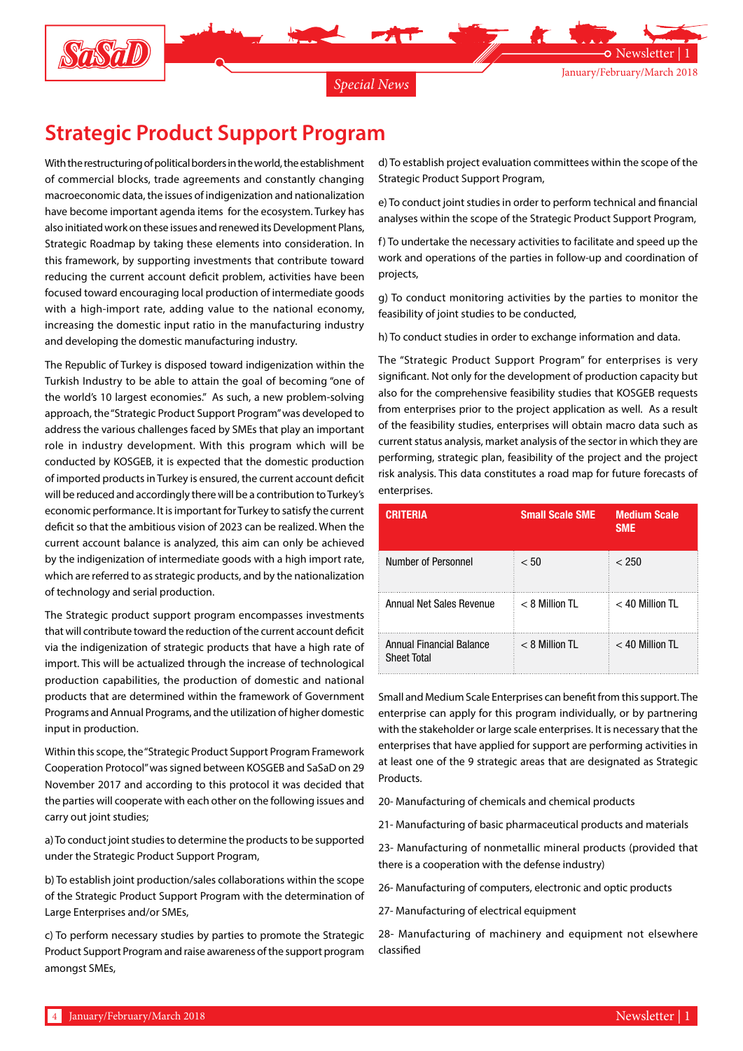

# **Strategic Product Support Program**

With the restructuring of political borders in the world, the establishment of commercial blocks, trade agreements and constantly changing macroeconomic data, the issues of indigenization and nationalization have become important agenda items for the ecosystem. Turkey has also initiated work on these issues and renewed its Development Plans, Strategic Roadmap by taking these elements into consideration. In this framework, by supporting investments that contribute toward reducing the current account deficit problem, activities have been focused toward encouraging local production of intermediate goods with a high-import rate, adding value to the national economy, increasing the domestic input ratio in the manufacturing industry and developing the domestic manufacturing industry.

The Republic of Turkey is disposed toward indigenization within the Turkish Industry to be able to attain the goal of becoming "one of the world's 10 largest economies." As such, a new problem-solving approach, the "Strategic Product Support Program" was developed to address the various challenges faced by SMEs that play an important role in industry development. With this program which will be conducted by KOSGEB, it is expected that the domestic production of imported products in Turkey is ensured, the current account deficit will be reduced and accordingly there will be a contribution to Turkey's economic performance. It is important for Turkey to satisfy the current deficit so that the ambitious vision of 2023 can be realized. When the current account balance is analyzed, this aim can only be achieved by the indigenization of intermediate goods with a high import rate, which are referred to as strategic products, and by the nationalization of technology and serial production.

The Strategic product support program encompasses investments that will contribute toward the reduction of the current account deficit via the indigenization of strategic products that have a high rate of import. This will be actualized through the increase of technological production capabilities, the production of domestic and national products that are determined within the framework of Government Programs and Annual Programs, and the utilization of higher domestic input in production.

Within this scope, the "Strategic Product Support Program Framework Cooperation Protocol" was signed between KOSGEB and SaSaD on 29 November 2017 and according to this protocol it was decided that the parties will cooperate with each other on the following issues and carry out joint studies;

a) To conduct joint studies to determine the products to be supported under the Strategic Product Support Program,

b) To establish joint production/sales collaborations within the scope of the Strategic Product Support Program with the determination of Large Enterprises and/or SMEs,

c) To perform necessary studies by parties to promote the Strategic Product Support Program and raise awareness of the support program amongst SMEs,

d) To establish project evaluation committees within the scope of the Strategic Product Support Program,

e) To conduct joint studies in order to perform technical and financial analyses within the scope of the Strategic Product Support Program,

f) To undertake the necessary activities to facilitate and speed up the work and operations of the parties in follow-up and coordination of projects,

g) To conduct monitoring activities by the parties to monitor the feasibility of joint studies to be conducted,

h) To conduct studies in order to exchange information and data.

The "Strategic Product Support Program" for enterprises is very significant. Not only for the development of production capacity but also for the comprehensive feasibility studies that KOSGEB requests from enterprises prior to the project application as well. As a result of the feasibility studies, enterprises will obtain macro data such as current status analysis, market analysis of the sector in which they are performing, strategic plan, feasibility of the project and the project risk analysis. This data constitutes a road map for future forecasts of enterprises.

| <b>CRITERIA</b>                                | <b>Small Scale SME</b> | <b>Medium Scale</b><br><b>SME</b> |
|------------------------------------------------|------------------------|-----------------------------------|
| Number of Personnel                            | < 50                   | < 250                             |
| Annual Net Sales Revenue                       | $<$ 8 Million TL       | $<$ 40 Million TL                 |
| Annual Financial Balance<br><b>Sheet Total</b> | $< 8$ Million TL       | $<$ 40 Million TL                 |

Small and Medium Scale Enterprises can benefit from this support. The enterprise can apply for this program individually, or by partnering with the stakeholder or large scale enterprises. It is necessary that the enterprises that have applied for support are performing activities in at least one of the 9 strategic areas that are designated as Strategic Products.

20- Manufacturing of chemicals and chemical products

21- Manufacturing of basic pharmaceutical products and materials

23- Manufacturing of nonmetallic mineral products (provided that there is a cooperation with the defense industry)

26- Manufacturing of computers, electronic and optic products

27- Manufacturing of electrical equipment

28- Manufacturing of machinery and equipment not elsewhere classified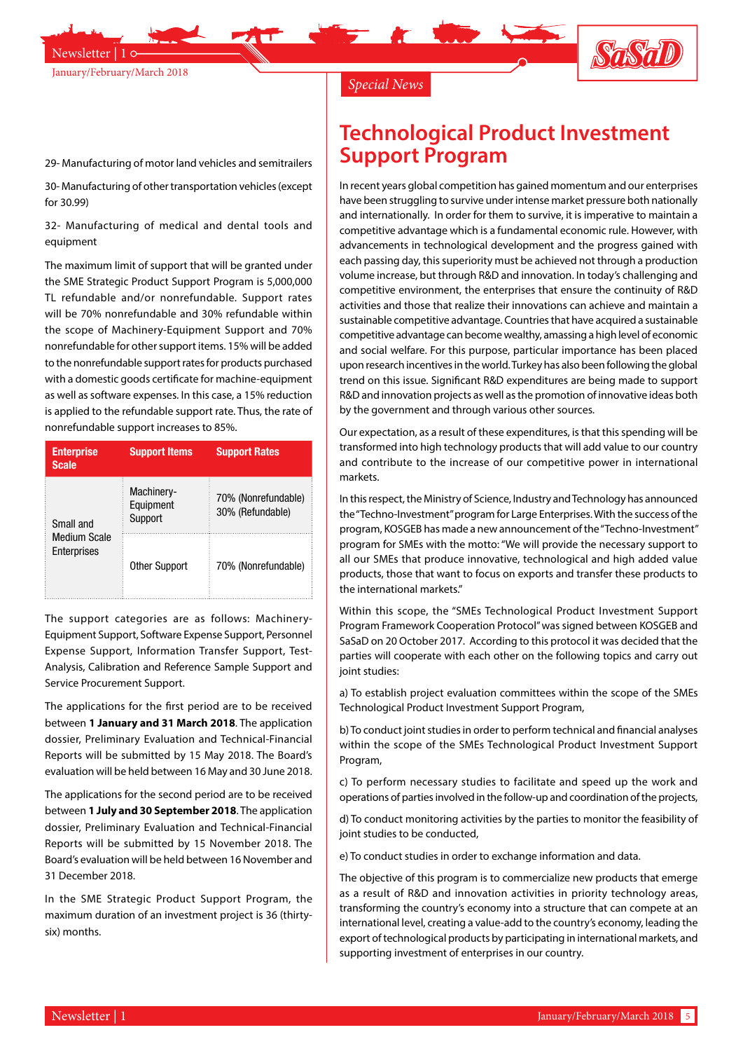



*Special News*

#### 29- Manufacturing of motor land vehicles and semitrailers

30- Manufacturing of other transportation vehicles (except for 30.99)

32- Manufacturing of medical and dental tools and equipment

The maximum limit of support that will be granted under the SME Strategic Product Support Program is 5,000,000 TL refundable and/or nonrefundable. Support rates will be 70% nonrefundable and 30% refundable within the scope of Machinery-Equipment Support and 70% nonrefundable for other support items. 15% will be added to the nonrefundable support rates for products purchased with a domestic goods certificate for machine-equipment as well as software expenses. In this case, a 15% reduction is applied to the refundable support rate. Thus, the rate of nonrefundable support increases to 85%.

| <b>Enterprise</b><br><b>Scale</b>                                                     | <b>Support Items</b> | <b>Support Rates</b>                    |
|---------------------------------------------------------------------------------------|----------------------|-----------------------------------------|
| Machinery-<br>Equipment<br>Support<br>Small and<br><b>Medium Scale</b><br>Enterprises |                      | 70% (Nonrefundable)<br>30% (Refundable) |
|                                                                                       | <b>Other Support</b> | 70% (Nonrefundable)                     |

The support categories are as follows: Machinery-Equipment Support, Software Expense Support, Personnel Expense Support, Information Transfer Support, Test-Analysis, Calibration and Reference Sample Support and Service Procurement Support.

The applications for the first period are to be received between **1 January and 31 March 2018**. The application dossier, Preliminary Evaluation and Technical-Financial Reports will be submitted by 15 May 2018. The Board's evaluation will be held between 16 May and 30 June 2018.

The applications for the second period are to be received between **1 July and 30 September 2018**. The application dossier, Preliminary Evaluation and Technical-Financial Reports will be submitted by 15 November 2018. The Board's evaluation will be held between 16 November and 31 December 2018.

In the SME Strategic Product Support Program, the maximum duration of an investment project is 36 (thirtysix) months.

### **Technological Product Investment Support Program**

In recent years global competition has gained momentum and our enterprises have been struggling to survive under intense market pressure both nationally and internationally. In order for them to survive, it is imperative to maintain a competitive advantage which is a fundamental economic rule. However, with advancements in technological development and the progress gained with each passing day, this superiority must be achieved not through a production volume increase, but through R&D and innovation. In today's challenging and competitive environment, the enterprises that ensure the continuity of R&D activities and those that realize their innovations can achieve and maintain a sustainable competitive advantage. Countries that have acquired a sustainable competitive advantage can become wealthy, amassing a high level of economic and social welfare. For this purpose, particular importance has been placed upon research incentives in the world. Turkey has also been following the global trend on this issue. Significant R&D expenditures are being made to support R&D and innovation projects as well as the promotion of innovative ideas both by the government and through various other sources.

Our expectation, as a result of these expenditures, is that this spending will be transformed into high technology products that will add value to our country and contribute to the increase of our competitive power in international markets.

In this respect, the Ministry of Science, Industry and Technology has announced the "Techno-Investment" program for Large Enterprises. With the success of the program, KOSGEB has made a new announcement of the "Techno-Investment" program for SMEs with the motto: "We will provide the necessary support to all our SMEs that produce innovative, technological and high added value products, those that want to focus on exports and transfer these products to the international markets."

Within this scope, the "SMEs Technological Product Investment Support Program Framework Cooperation Protocol" was signed between KOSGEB and SaSaD on 20 October 2017. According to this protocol it was decided that the parties will cooperate with each other on the following topics and carry out joint studies:

a) To establish project evaluation committees within the scope of the SMEs Technological Product Investment Support Program,

b) To conduct joint studies in order to perform technical and financial analyses within the scope of the SMEs Technological Product Investment Support Program,

c) To perform necessary studies to facilitate and speed up the work and operations of parties involved in the follow-up and coordination of the projects,

d) To conduct monitoring activities by the parties to monitor the feasibility of joint studies to be conducted,

e) To conduct studies in order to exchange information and data.

The objective of this program is to commercialize new products that emerge as a result of R&D and innovation activities in priority technology areas, transforming the country's economy into a structure that can compete at an international level, creating a value-add to the country's economy, leading the export of technological products by participating in international markets, and supporting investment of enterprises in our country.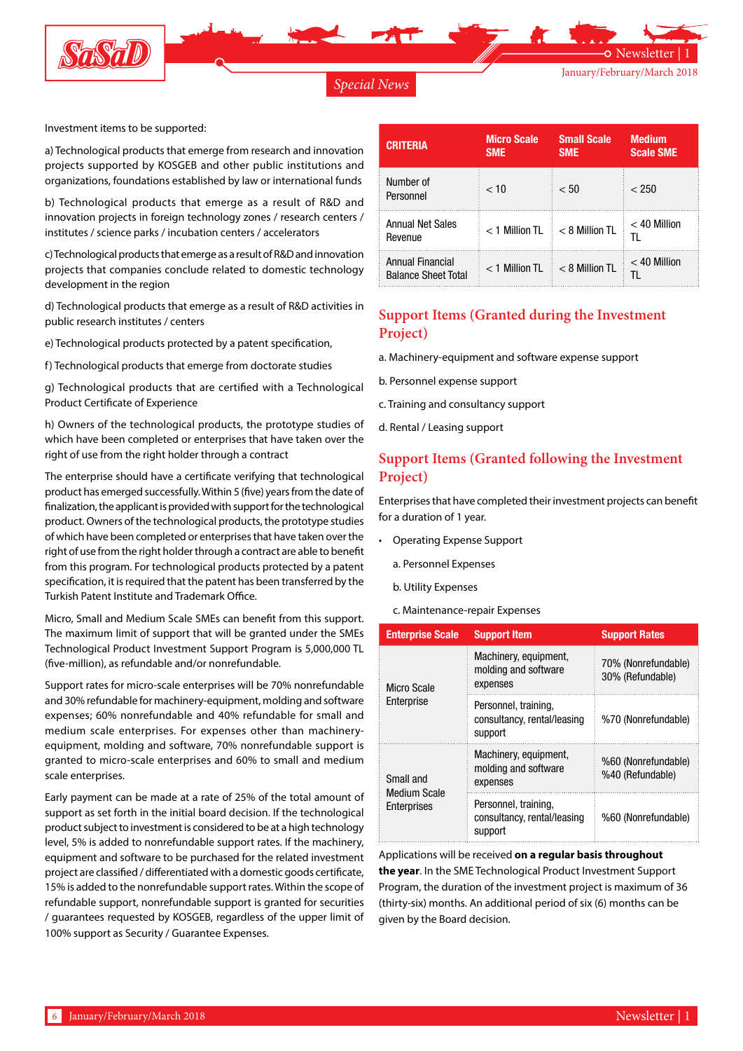

#### *Special News*

Newsletter

Investment items to be supported:

a) Technological products that emerge from research and innovation projects supported by KOSGEB and other public institutions and organizations, foundations established by law or international funds

b) Technological products that emerge as a result of R&D and innovation projects in foreign technology zones / research centers / institutes / science parks / incubation centers / accelerators

c) Technological products that emerge as a result of R&D and innovation projects that companies conclude related to domestic technology development in the region

d) Technological products that emerge as a result of R&D activities in public research institutes / centers

e) Technological products protected by a patent specification,

f) Technological products that emerge from doctorate studies

g) Technological products that are certified with a Technological Product Certificate of Experience

h) Owners of the technological products, the prototype studies of which have been completed or enterprises that have taken over the right of use from the right holder through a contract

The enterprise should have a certificate verifying that technological product has emerged successfully. Within 5 (five) years from the date of finalization, the applicant is provided with support for the technological product. Owners of the technological products, the prototype studies of which have been completed or enterprises that have taken over the right of use from the right holder through a contract are able to benefit from this program. For technological products protected by a patent specification, it is required that the patent has been transferred by the Turkish Patent Institute and Trademark Office.

Micro, Small and Medium Scale SMEs can benefit from this support. The maximum limit of support that will be granted under the SMEs Technological Product Investment Support Program is 5,000,000 TL (five-million), as refundable and/or nonrefundable.

Support rates for micro-scale enterprises will be 70% nonrefundable and 30% refundable for machinery-equipment, molding and software expenses; 60% nonrefundable and 40% refundable for small and medium scale enterprises. For expenses other than machineryequipment, molding and software, 70% nonrefundable support is granted to micro-scale enterprises and 60% to small and medium scale enterprises.

Early payment can be made at a rate of 25% of the total amount of support as set forth in the initial board decision. If the technological product subject to investment is considered to be at a high technology level, 5% is added to nonrefundable support rates. If the machinery, equipment and software to be purchased for the related investment project are classified / differentiated with a domestic goods certificate, 15% is added to the nonrefundable support rates. Within the scope of refundable support, nonrefundable support is granted for securities / guarantees requested by KOSGEB, regardless of the upper limit of 100% support as Security / Guarantee Expenses.

| <b>CRITERIA</b>                                | <b>Micro Scale</b><br><b>SME</b> | <b>Small Scale</b><br><b>SME</b> | <b>Medium</b><br><b>Scale SME</b> |
|------------------------------------------------|----------------------------------|----------------------------------|-----------------------------------|
| Number of<br>Personnel                         | < 10                             | < 50                             | < 250                             |
| Annual Net Sales<br>Revenue                    | $<$ 1 Million TL                 | $< 8$ Million TL                 | $<$ 40 Million<br>TI.             |
| Annual Financial<br><b>Balance Sheet Total</b> | $<$ 1 Million TL                 | $< 8$ Million TL                 | $<$ 40 Million<br>TI.             |

### **Support Items (Granted during the Investment Project)**

- a. Machinery-equipment and software expense support
- b. Personnel expense support
- c. Training and consultancy support
- d. Rental / Leasing support

#### **Support Items (Granted following the Investment Project)**

Enterprises that have completed their investment projects can benefit for a duration of 1 year.

- • Operating Expense Support
	- a. Personnel Expenses
	- b. Utility Expenses
	- c. Maintenance-repair Expenses

| <b>Enterprise Scale</b>                         | <b>Support Item</b>                                            | <b>Support Rates</b>                    |
|-------------------------------------------------|----------------------------------------------------------------|-----------------------------------------|
| Micro Scale<br>Enterprise                       | Machinery, equipment,<br>molding and software<br>expenses      | 70% (Nonrefundable)<br>30% (Refundable) |
|                                                 | Personnel, training,<br>consultancy, rental/leasing<br>support | %70 (Nonrefundable)                     |
| Small and<br><b>Medium Scale</b><br>Enterprises | Machinery, equipment,<br>molding and software<br>expenses      | %60 (Nonrefundable)<br>%40 (Refundable) |
|                                                 | Personnel, training,<br>consultancy, rental/leasing<br>support | %60 (Nonrefundable)                     |

Applications will be received **on a regular basis throughout the year**. In the SME Technological Product Investment Support Program, the duration of the investment project is maximum of 36 (thirty-six) months. An additional period of six (6) months can be given by the Board decision.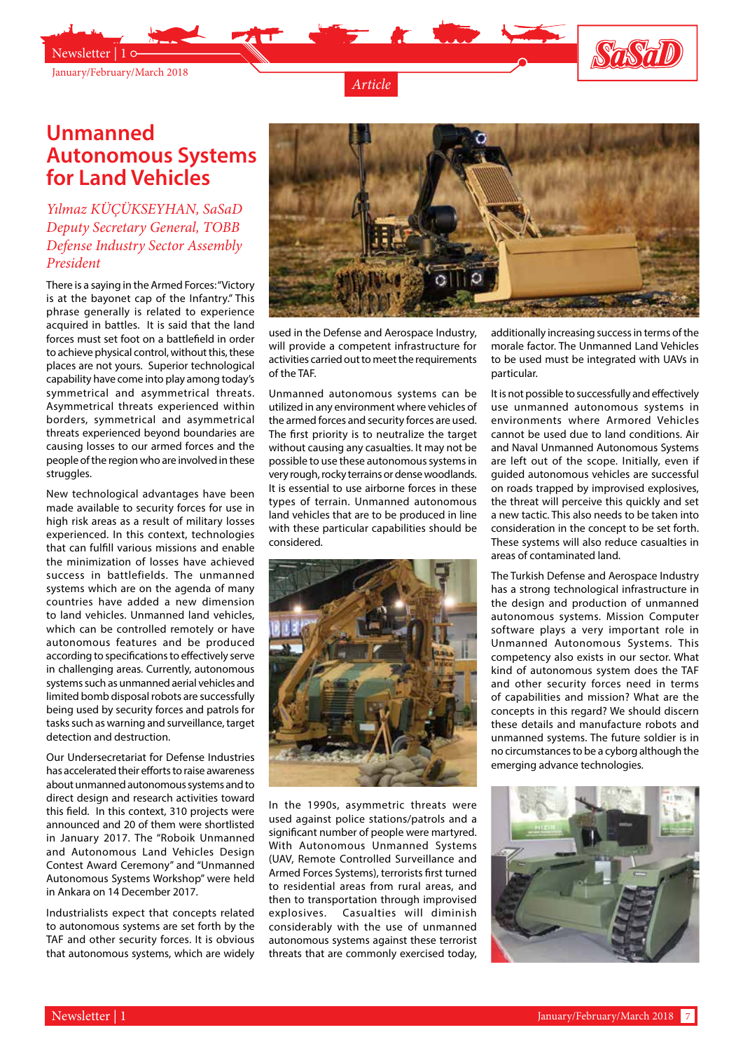

Newsletter | 1



*Article*

## **Unmanned Autonomous Systems for Land Vehicles**

#### *Yılmaz KÜÇÜKSEYHAN, SaSaD Deputy Secretary General, TOBB Defense Industry Sector Assembly President*

There is a saying in the Armed Forces: "Victory is at the bayonet cap of the Infantry." This phrase generally is related to experience acquired in battles. It is said that the land forces must set foot on a battlefield in order to achieve physical control, without this, these places are not yours. Superior technological capability have come into play among today's symmetrical and asymmetrical threats. Asymmetrical threats experienced within borders, symmetrical and asymmetrical threats experienced beyond boundaries are causing losses to our armed forces and the people of the region who are involved in these struggles.

New technological advantages have been made available to security forces for use in high risk areas as a result of military losses experienced. In this context, technologies that can fulfill various missions and enable the minimization of losses have achieved success in battlefields. The unmanned systems which are on the agenda of many countries have added a new dimension to land vehicles. Unmanned land vehicles, which can be controlled remotely or have autonomous features and be produced according to specifications to effectively serve in challenging areas. Currently, autonomous systems such as unmanned aerial vehicles and limited bomb disposal robots are successfully being used by security forces and patrols for tasks such as warning and surveillance, target detection and destruction.

Our Undersecretariat for Defense Industries has accelerated their efforts to raise awareness about unmanned autonomous systems and to direct design and research activities toward this field. In this context, 310 projects were announced and 20 of them were shortlisted in January 2017. The "Roboik Unmanned and Autonomous Land Vehicles Design Contest Award Ceremony" and "Unmanned Autonomous Systems Workshop" were held in Ankara on 14 December 2017.

Industrialists expect that concepts related to autonomous systems are set forth by the TAF and other security forces. It is obvious that autonomous systems, which are widely



used in the Defense and Aerospace Industry, will provide a competent infrastructure for activities carried out to meet the requirements of the TAF.

Unmanned autonomous systems can be utilized in any environment where vehicles of the armed forces and security forces are used. The first priority is to neutralize the target without causing any casualties. It may not be possible to use these autonomous systems in very rough, rocky terrains or dense woodlands. It is essential to use airborne forces in these types of terrain. Unmanned autonomous land vehicles that are to be produced in line with these particular capabilities should be considered.



In the 1990s, asymmetric threats were used against police stations/patrols and a significant number of people were martyred. With Autonomous Unmanned Systems (UAV, Remote Controlled Surveillance and Armed Forces Systems), terrorists first turned to residential areas from rural areas, and then to transportation through improvised explosives. Casualties will diminish considerably with the use of unmanned autonomous systems against these terrorist threats that are commonly exercised today,

additionally increasing success in terms of the morale factor. The Unmanned Land Vehicles to be used must be integrated with UAVs in particular.

It is not possible to successfully and effectively use unmanned autonomous systems in environments where Armored Vehicles cannot be used due to land conditions. Air and Naval Unmanned Autonomous Systems are left out of the scope. Initially, even if guided autonomous vehicles are successful on roads trapped by improvised explosives, the threat will perceive this quickly and set a new tactic. This also needs to be taken into consideration in the concept to be set forth. These systems will also reduce casualties in areas of contaminated land.

The Turkish Defense and Aerospace Industry has a strong technological infrastructure in the design and production of unmanned autonomous systems. Mission Computer software plays a very important role in Unmanned Autonomous Systems. This competency also exists in our sector. What kind of autonomous system does the TAF and other security forces need in terms of capabilities and mission? What are the concepts in this regard? We should discern these details and manufacture robots and unmanned systems. The future soldier is in no circumstances to be a cyborg although the emerging advance technologies.

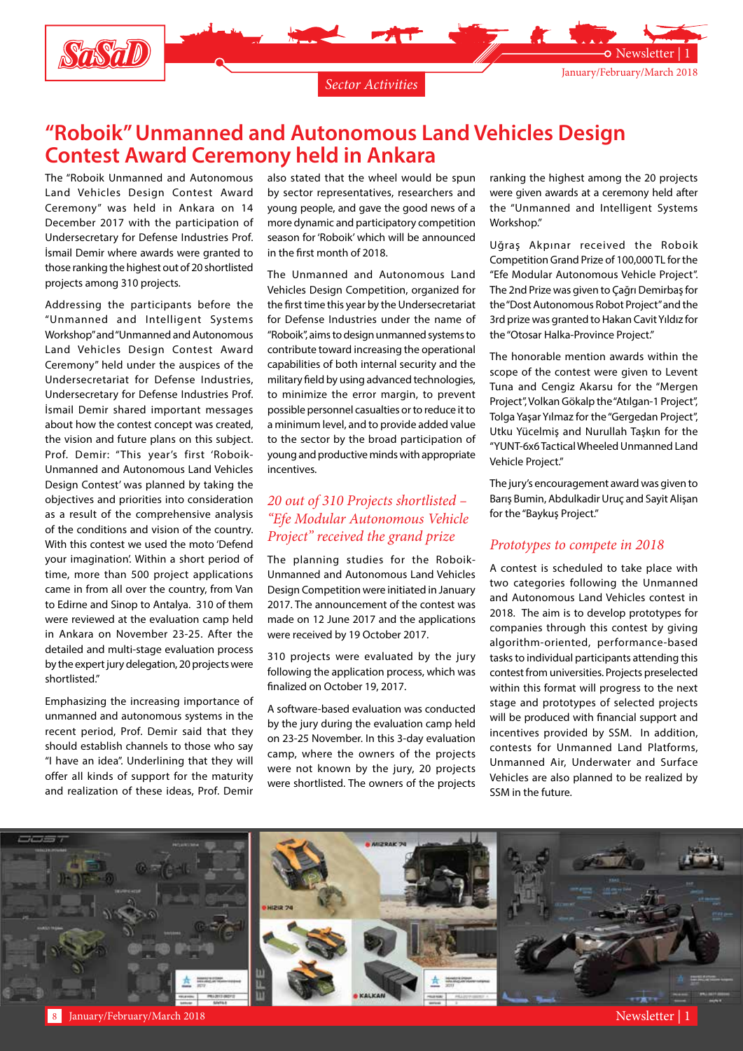

### **"Roboik" Unmanned and Autonomous Land Vehicles Design Contest Award Ceremony held in Ankara**

The "Roboik Unmanned and Autonomous Land Vehicles Design Contest Award Ceremony" was held in Ankara on 14 December 2017 with the participation of Undersecretary for Defense Industries Prof. İsmail Demir where awards were granted to those ranking the highest out of 20 shortlisted projects among 310 projects.

Addressing the participants before the "Unmanned and Intelligent Systems Workshop" and "Unmanned and Autonomous Land Vehicles Design Contest Award Ceremony" held under the auspices of the Undersecretariat for Defense Industries, Undersecretary for Defense Industries Prof. İsmail Demir shared important messages about how the contest concept was created, the vision and future plans on this subject. Prof. Demir: "This year's first 'Roboik-Unmanned and Autonomous Land Vehicles Design Contest' was planned by taking the objectives and priorities into consideration as a result of the comprehensive analysis of the conditions and vision of the country. With this contest we used the moto 'Defend your imagination'. Within a short period of time, more than 500 project applications came in from all over the country, from Van to Edirne and Sinop to Antalya. 310 of them were reviewed at the evaluation camp held in Ankara on November 23-25. After the detailed and multi-stage evaluation process by the expert jury delegation, 20 projects were shortlisted."

Emphasizing the increasing importance of unmanned and autonomous systems in the recent period, Prof. Demir said that they should establish channels to those who say "I have an idea". Underlining that they will offer all kinds of support for the maturity and realization of these ideas, Prof. Demir

also stated that the wheel would be spun by sector representatives, researchers and young people, and gave the good news of a more dynamic and participatory competition season for 'Roboik' which will be announced in the first month of 2018.

The Unmanned and Autonomous Land Vehicles Design Competition, organized for the first time this year by the Undersecretariat for Defense Industries under the name of "Roboik", aims to design unmanned systems to contribute toward increasing the operational capabilities of both internal security and the military field by using advanced technologies, to minimize the error margin, to prevent possible personnel casualties or to reduce it to a minimum level, and to provide added value to the sector by the broad participation of young and productive minds with appropriate incentives.

#### *20 out of 310 Projects shortlisted – "Efe Modular Autonomous Vehicle Project" received the grand prize*

The planning studies for the Roboik-Unmanned and Autonomous Land Vehicles Design Competition were initiated in January 2017. The announcement of the contest was made on 12 June 2017 and the applications were received by 19 October 2017.

310 projects were evaluated by the jury following the application process, which was finalized on October 19, 2017.

A software-based evaluation was conducted by the jury during the evaluation camp held on 23-25 November. In this 3-day evaluation camp, where the owners of the projects were not known by the jury, 20 projects were shortlisted. The owners of the projects

ranking the highest among the 20 projects were given awards at a ceremony held after the "Unmanned and Intelligent Systems Workshop."

Uğraş Akpınar received the Roboik Competition Grand Prize of 100,000 TL for the "Efe Modular Autonomous Vehicle Project". The 2nd Prize was given to Çağrı Demirbaş for the "Dost Autonomous Robot Project" and the 3rd prize was granted to Hakan Cavit Yıldız for the "Otosar Halka-Province Project."

The honorable mention awards within the scope of the contest were given to Levent Tuna and Cengiz Akarsu for the "Mergen Project", Volkan Gökalp the "Atılgan-1 Project", Tolga Yaşar Yılmaz for the "Gergedan Project", Utku Yücelmiş and Nurullah Taşkın for the "YUNT-6x6 Tactical Wheeled Unmanned Land Vehicle Project."

The jury's encouragement award was given to Barış Bumin, Abdulkadir Uruç and Sayit Alişan for the "Baykuş Project."

#### *Prototypes to compete in 2018*

A contest is scheduled to take place with two categories following the Unmanned and Autonomous Land Vehicles contest in 2018. The aim is to develop prototypes for companies through this contest by giving algorithm-oriented, performance-based tasks to individual participants attending this contest from universities. Projects preselected within this format will progress to the next stage and prototypes of selected projects will be produced with financial support and incentives provided by SSM. In addition, contests for Unmanned Land Platforms, Unmanned Air, Underwater and Surface Vehicles are also planned to be realized by SSM in the future.

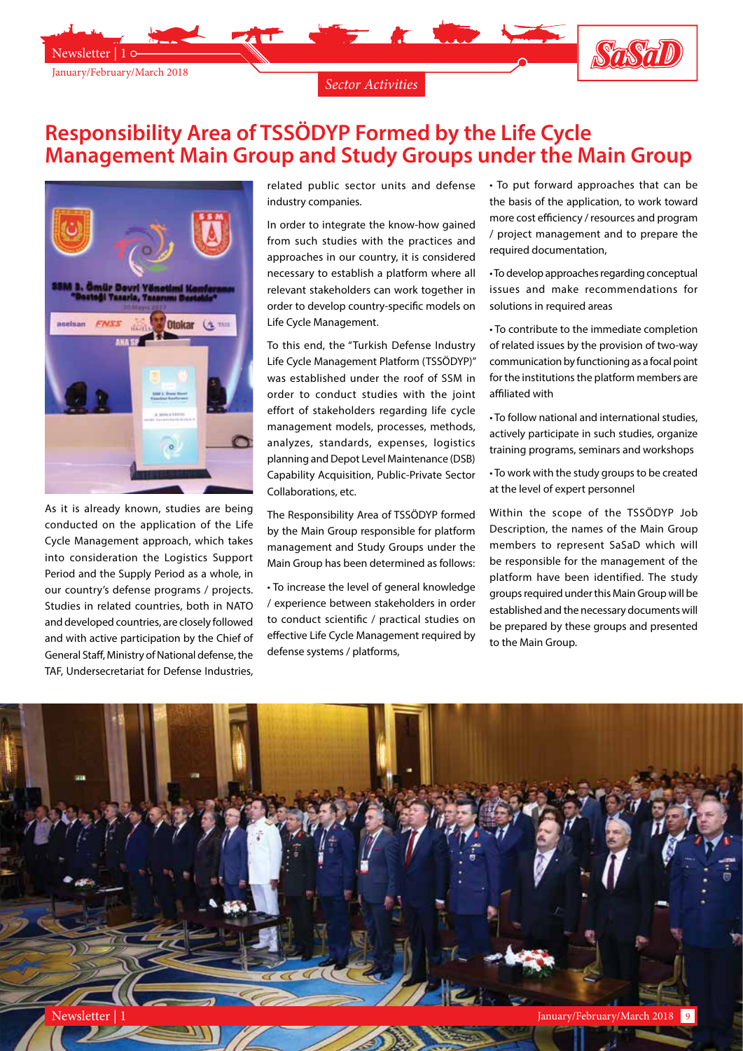

# **Responsibility Area of TSSÖDYP Formed by the Life Cycle Management Main Group and Study Groups under the Main Group**



January/February/March 2018

Newsletter | 1

As it is already known, studies are being conducted on the application of the Life Cycle Management approach, which takes into consideration the Logistics Support Period and the Supply Period as a whole, in our country's defense programs / projects. Studies in related countries, both in NATO and developed countries, are closely followed and with active participation by the Chief of General Staff, Ministry of National defense, the TAF, Undersecretariat for Defense Industries,

related public sector units and defense industry companies.

In order to integrate the know-how gained from such studies with the practices and approaches in our country, it is considered necessary to establish a platform where all relevant stakeholders can work together in order to develop country-specific models on Life Cycle Management.

To this end, the "Turkish Defense Industry Life Cycle Management Platform (TSSÖDYP)" was established under the roof of SSM in order to conduct studies with the joint effort of stakeholders regarding life cycle management models, processes, methods, analyzes, standards, expenses, logistics planning and Depot Level Maintenance (DSB) Capability Acquisition, Public-Private Sector Collaborations, etc.

The Responsibility Area of TSSÖDYP formed by the Main Group responsible for platform management and Study Groups under the Main Group has been determined as follows:

• To increase the level of general knowledge / experience between stakeholders in order to conduct scientific / practical studies on effective Life Cycle Management required by defense systems / platforms,

• To put forward approaches that can be the basis of the application, to work toward more cost efficiency / resources and program / project management and to prepare the required documentation,

Sasab

• To develop approaches regarding conceptual issues and make recommendations for solutions in required areas

• To contribute to the immediate completion of related issues by the provision of two-way communication by functioning as a focal point for the institutions the platform members are affiliated with

• To follow national and international studies, actively participate in such studies, organize training programs, seminars and workshops

• To work with the study groups to be created at the level of expert personnel

Within the scope of the TSSÖDYP Job Description, the names of the Main Group members to represent SaSaD which will be responsible for the management of the platform have been identified. The study groups required under this Main Group will be established and the necessary documents will be prepared by these groups and presented to the Main Group.

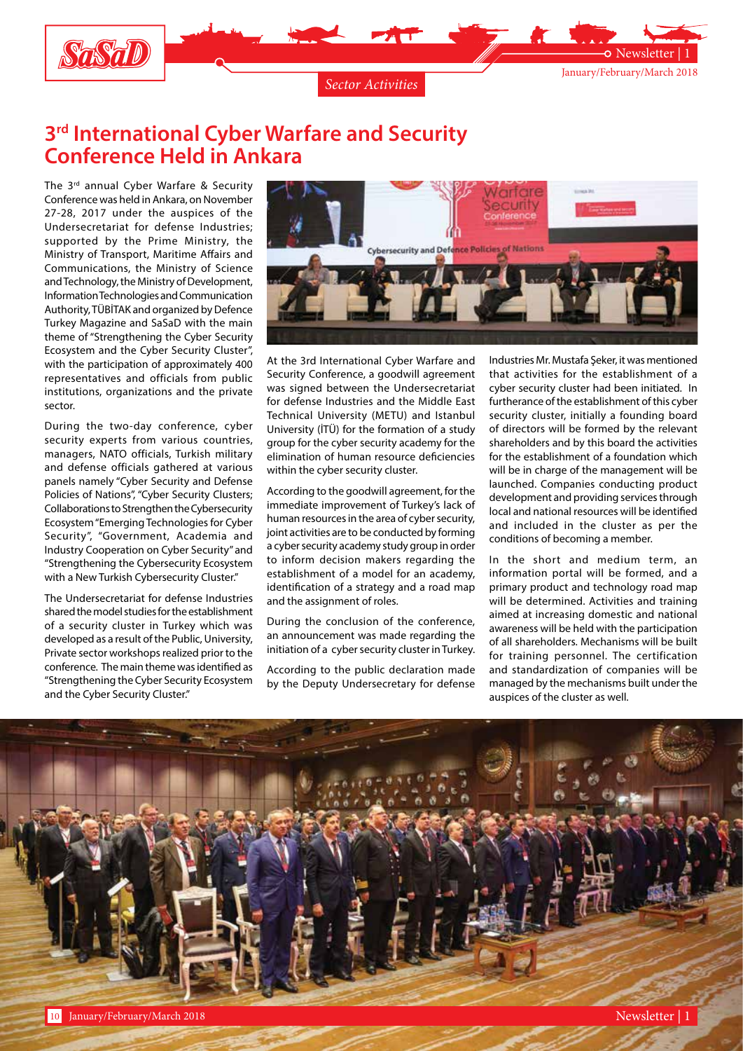

## **3rd International Cyber Warfare and Security Conference Held in Ankara**

The 3<sup>rd</sup> annual Cyber Warfare & Security Conference was held in Ankara, on November 27-28, 2017 under the auspices of the Undersecretariat for defense Industries; supported by the Prime Ministry, the Ministry of Transport, Maritime Affairs and Communications, the Ministry of Science and Technology, the Ministry of Development, Information Technologies and Communication Authority, TÜBİTAK and organized by Defence Turkey Magazine and SaSaD with the main theme of "Strengthening the Cyber Security Ecosystem and the Cyber Security Cluster", with the participation of approximately 400 representatives and officials from public institutions, organizations and the private sector.

During the two-day conference, cyber security experts from various countries, managers, NATO officials, Turkish military and defense officials gathered at various panels namely "Cyber Security and Defense Policies of Nations", "Cyber Security Clusters; Collaborations to Strengthen the Cybersecurity Ecosystem "Emerging Technologies for Cyber Security", "Government, Academia and Industry Cooperation on Cyber Security" and "Strengthening the Cybersecurity Ecosystem with a New Turkish Cybersecurity Cluster."

The Undersecretariat for defense Industries shared the model studies for the establishment of a security cluster in Turkey which was developed as a result of the Public, University, Private sector workshops realized prior to the conference. The main theme was identified as "Strengthening the Cyber Security Ecosystem and the Cyber Security Cluster."



At the 3rd International Cyber Warfare and Security Conference, a goodwill agreement was signed between the Undersecretariat for defense Industries and the Middle East Technical University (METU) and Istanbul University (İTÜ) for the formation of a study group for the cyber security academy for the elimination of human resource deficiencies within the cyber security cluster.

According to the goodwill agreement, for the immediate improvement of Turkey's lack of human resources in the area of cyber security, joint activities are to be conducted by forming a cyber security academy study group in order to inform decision makers regarding the establishment of a model for an academy, identification of a strategy and a road map and the assignment of roles.

During the conclusion of the conference, an announcement was made regarding the initiation of a cyber security cluster in Turkey.

According to the public declaration made by the Deputy Undersecretary for defense

Industries Mr. Mustafa Şeker, it was mentioned that activities for the establishment of a cyber security cluster had been initiated. In furtherance of the establishment of this cyber security cluster, initially a founding board of directors will be formed by the relevant shareholders and by this board the activities for the establishment of a foundation which will be in charge of the management will be launched. Companies conducting product development and providing services through local and national resources will be identified and included in the cluster as per the conditions of becoming a member.

In the short and medium term, an information portal will be formed, and a primary product and technology road map will be determined. Activities and training aimed at increasing domestic and national awareness will be held with the participation of all shareholders. Mechanisms will be built for training personnel. The certification and standardization of companies will be managed by the mechanisms built under the auspices of the cluster as well.

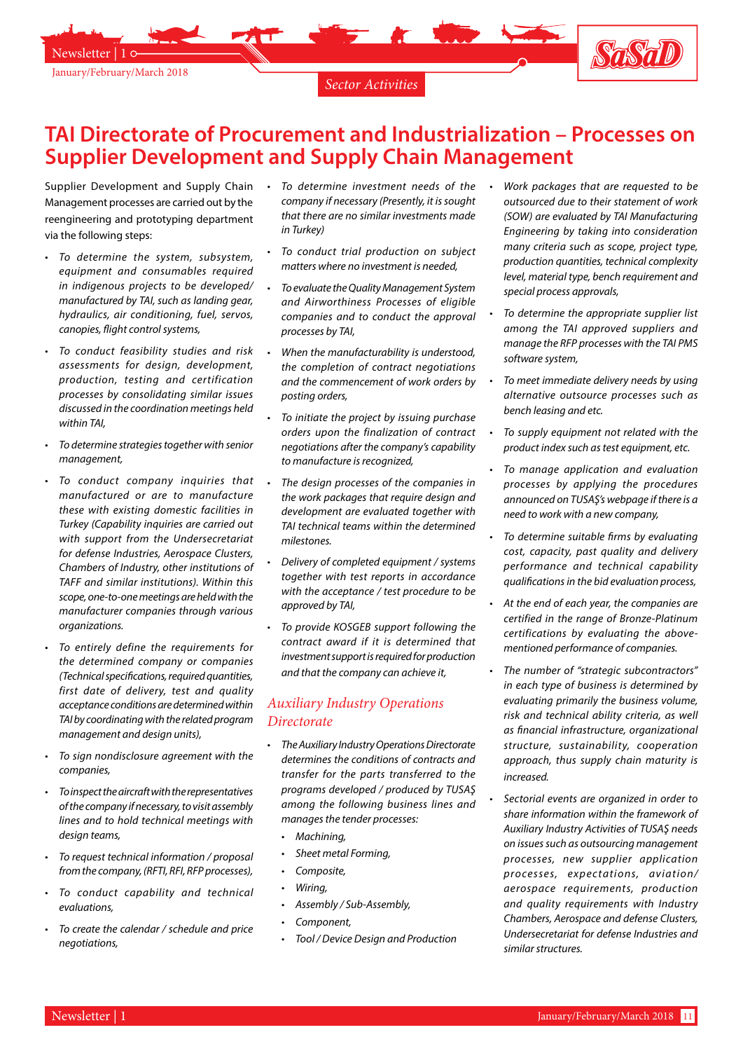

### **TAI Directorate of Procurement and Industrialization – Processes on Supplier Development and Supply Chain Management**

Supplier Development and Supply Chain • To determine investment needs of the Management processes are carried out by the reengineering and prototyping department via the following steps:

- To determine the system, subsystem, *equipment and consumables required in indigenous projects to be developed/ manufactured by TAI, such as landing gear, hydraulics, air conditioning, fuel, servos, canopies, flight control systems,*
- • *To conduct feasibility studies and risk assessments for design, development, production, testing and certification processes by consolidating similar issues discussed in the coordination meetings held within TAI,*
- • *To determine strategies together with senior management,*
- • *To conduct company inquiries that manufactured or are to manufacture these with existing domestic facilities in Turkey (Capability inquiries are carried out with support from the Undersecretariat for defense Industries, Aerospace Clusters, Chambers of Industry, other institutions of TAFF and similar institutions). Within this scope, one-to-one meetings are held with the manufacturer companies through various organizations.*
- To entirely define the requirements for *the determined company or companies (Technical specifications, required quantities, first date of delivery, test and quality acceptance conditions are determined within TAI by coordinating with the related program management and design units),*
- To sign nondisclosure agreement with the *companies,*
- • *To inspect the aircraft with the representatives of the company if necessary, to visit assembly lines and to hold technical meetings with design teams,*
- To request technical information / proposal *from the company, (RFTI, RFI, RFP processes),*
- To conduct capability and technical *evaluations,*
- To create the calendar / schedule and price *negotiations,*
- *company if necessary (Presently, it is sought that there are no similar investments made in Turkey)*
- • *To conduct trial production on subject matters where no investment is needed,*
- • *To evaluate the Quality Management System and Airworthiness Processes of eligible companies and to conduct the approval processes by TAI,*
- • *When the manufacturability is understood, the completion of contract negotiations and the commencement of work orders by posting orders,*
- • *To initiate the project by issuing purchase orders upon the finalization of contract negotiations after the company's capability to manufacture is recognized,*
- The design processes of the companies in *the work packages that require design and development are evaluated together with TAI technical teams within the determined milestones.*
- • *Delivery of completed equipment / systems together with test reports in accordance with the acceptance / test procedure to be approved by TAI,*
- • *To provide KOSGEB support following the contract award if it is determined that investment support is required for production and that the company can achieve it,*

#### *Auxiliary Industry Operations Directorate*

- • *The Auxiliary Industry Operations Directorate determines the conditions of contracts and transfer for the parts transferred to the programs developed / produced by TUSAŞ among the following business lines and manages the tender processes:*
	- • *Machining,*
	- **Sheet metal Forming,**
	- Composite,
	- • *Wiring,*
	- • *Assembly / Sub-Assembly,*
	- Component,
	- • *Tool / Device Design and Production*
- • *Work packages that are requested to be outsourced due to their statement of work (SOW) are evaluated by TAI Manufacturing Engineering by taking into consideration many criteria such as scope, project type, production quantities, technical complexity level, material type, bench requirement and special process approvals,*
- To determine the appropriate supplier list *among the TAI approved suppliers and manage the RFP processes with the TAI PMS software system,*
- • *To meet immediate delivery needs by using alternative outsource processes such as bench leasing and etc.*
- To supply equipment not related with the *product index such as test equipment, etc.*
- • *To manage application and evaluation processes by applying the procedures announced on TUSAŞ's webpage if there is a need to work with a new company,*
- To determine suitable firms by evaluating *cost, capacity, past quality and delivery performance and technical capability qualifications in the bid evaluation process,*
- At the end of each year, the companies are *certified in the range of Bronze-Platinum certifications by evaluating the abovementioned performance of companies.*
- • *The number of "strategic subcontractors" in each type of business is determined by evaluating primarily the business volume, risk and technical ability criteria, as well as financial infrastructure, organizational structure, sustainability, cooperation approach, thus supply chain maturity is increased.*
- Sectorial events are organized in order to *share information within the framework of Auxiliary Industry Activities of TUSAŞ needs on issues such as outsourcing management processes, new supplier application processes, expectations, aviation/ aerospace requirements, production and quality requirements with Industry Chambers, Aerospace and defense Clusters, Undersecretariat for defense Industries and similar structures.*